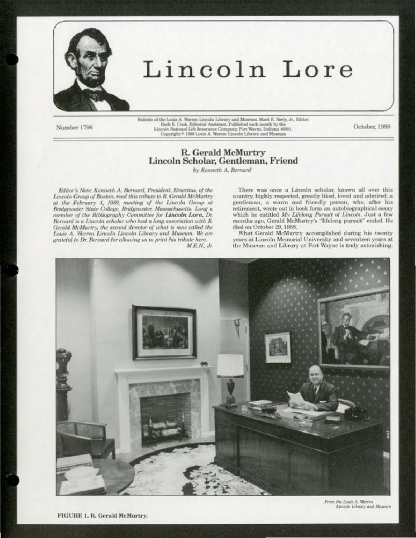

# Lincoln Lore

Number 1796

Bulletin of the Louis A. Warren Lincoln Library and Museum. Mark E. Neely, Jr., Editor. Ruth E. Cook, Editorial Assistant. Published each month by the Lincoln National Life Insurance Company, Fort Wayne, Indiana 46801.<br>Copyright \* 1988 Louis A. Warren Lincoln Library and Museum

October, 1988

## R. Gerald McMurtry Lincoln Scholar, Gentleman, Friend

by Kenneth A. Bernard

Editor's Note: Kenneth A. Bernard, President, Emeritus, of the Lincoln Group of Boston, read this tribute to R. Gerald McMurtry at the February 4, 1989, meeting of the Lincoln Group at Bridgewater State College, Bridgewater, Massachusetts. Long a member of the Bibliography Committee for Lincoln Lore, Dr. Bernard is a Lincoln scholar who had a long association with R. Gerald McMurtry, the second director of what is now called the Louis A. Warren Lincoln Lincoln Library and Museum. We are grateful to Dr. Bernard for allowing us to print his tribute here.

 $M.E.N., Jr.$ 

There was once a Lincoln scholar, known all over this country, highly respected, greatly liked, loved and admired; a gentleman, a warm and friendly person, who, after his retirement, wrote out in book form an autobiographical essay which he entitled My Lifelong Pursuit of Lincoln. Just a few months ago, Gerald McMurtry's "lifelong pursuit" ended. He died on October 29, 1988.

What Gerald McMurtry accomplished during his twenty vears at Lincoln Memorial University and seventeen years at the Museum and Library at Fort Wayne is truly astonishing.



From the Louis A. Warren Lincoln Library and Museum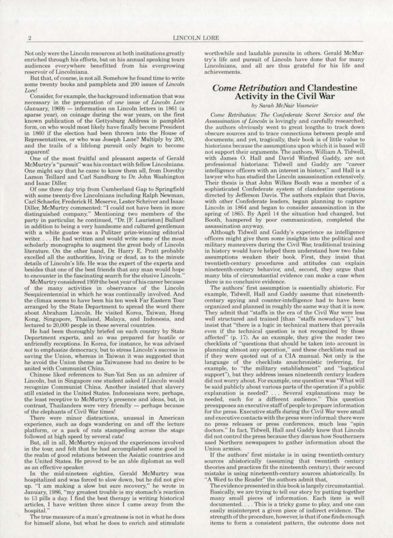Not only were the Lincoln resources at both institutions greatly enriched through his efforts. but on his annual speaking tours audiences everywhere benefitted from his evergrowing reservoir *or* Linrolniana.

But that, of course, is not all. Somehow he found time to write some twenty books and pamphlets and 200 issues of Lincoln *Lore!* 

Consider, for example. the background information that was necessary in the preparation of *one* issue of *Lincoln Lore* (January, 1969) - information on Lincoln letters in 1861 (a sparse year), on coinage during the war years. on the first known publication of the Gettysburg Address in pamphlet form, on who would most likely have finally become President in 1860 if the election had been thrown into the House of Representatives, or who was Joseph Lane? Multiply by 200, and the trails of a lifelong pursuit only *begin* to become apparent!

One of the most fruitful and pleasant aspects of Gerald McMurtry's "pursuit" was his contact with fellow Lincolnians. One might say that he came to know them all, from Dorothy Lamon Teillard and Carl Sandburg to Dr. John Washington and Isaac Diller.

Of one three day trip from Cumberland Gap to Springfield with some twenty-five Lincolnians including Ralph Newman,<br>Carl Schaefer, Frederick H. Meserve, Lester Schriver and Isaac Diller, McMurtry commented: "I could not have been in more distinguished company." Mentioning two members of the party in particular, he continued, "Dr. [F. Lauriston] Bullard in addition to being a very handsome and cultured gentleman with a white goatee was a Pulitzer prize-winning editorial writer. . . . He had written and would write some of the most scholarly monographs to augment the great body of Lincoln literature. On the other hand, Dr. Harry E. Pratt probably excelled all the authorities, living or dead, as to the minute details of Lincoln's life. He was the expert of the experts and besides that one of the best friends that any man would hope to encounter in the fascinating search for the elusive Lincoln.

McMurtry considered 1959 the best year of his career because of the many activities in observance of the Lincoln Sesquicentennial in which he was continually involved. And the climax seems to have been his ten week far Eastern Tour arranged by the Slate Department to spread the word there about Abraham Lincoln. He visited Korea, Taiwan, Hong Kong, Singapore, Thailand, Malaya, and Indonesia, and lectured to 20.000 people in these several countries.

He had been thoroughly briefed on each country by State Department experts, and so was prepared for hostile or unfriendly receptions. In Korea, for instance, he was advised not to emphasize democracy, but to stress Lincoln's success in saving the Union, whereas in Taiwan it was suggested that he avoid the Union theme as Taiwanese had no desire to be united with Communist Chinu.

Chinese liked references to Sun-Yat Sen as an admirer of Lincoln. but in Singapore one student asked if Lincoln would recognize Communist China. Another insisted that slavery still existed in the United States. Indonesians were, perhaps, the least receptive to McMurtry's presence and ideas, but, in contrast, Thailanders were very friendly - perhaps because of the elephants of Civil War times!

There were minor distractions, unusual in American experience, such as dogs wandering on and off the lecture platform, or a pack of rats stampeding across the stage followed at high speed by several cats!

But. all in all, McMurtry enjoyed the experiences involved in the tour, and felt that he had accomplished some good in the realm of good relations between the Asiatic countries and the United States. He proved to be an able diplomat as well

as an effective speaker.<br>In the mid-nineteen eighties, Gerald McMurtry was hospitalized and was forced to slow down, but he did not give up. "I am making a slow but sure recovery," he wrote in Janu'ary, 1986, "my greatest trouble is my stomach's reaction to l3 pills a day. 1 find the best therapy is writing historical articles. I have written three since I came away from the hospital."

The true measure of a man's greatness is not in what he does for himself alone, but what he does to enrich and stimulate

worthwhile and laudable pursuits in others. Gerald McMur· try's life and pursuit of Lincoln have done that for many Lincolnians, and all are thus grateful for his life and achievements.

## *Come Retribution* and Clandestine Activity in the Civil War

*by Sarah McNair \i>smeier* 

Come Retribution: The Confederate Secret Service and the *Assassination of Lincoln* is lovingly and carefully researched: the authors obviously went to great lengths to track down obscure sources and to trace connections between people and documents; and yet, tragically, their book is of little value to historians because the assumptions upon which it is based will not support their arguments. The authors, William A. Tidwell, with James 0. Hall and David Winfred Gaddy, are not professional historians: Tidwell and Gaddy are "career<br>intelligence officers with an interest in history," and Hall is a lawyer who has studied the Lincoln assassination extensively. Their thesis is that John Wilkes Booth was a member of a sophisticated Confederate system of clandestine operations directed by Jefferson Davis. The authors explain that Davis, with other Confederate leaders, began planning to capture Lincoln in 1864 and began to consider assassination in the spring of 1865. By April 14 the situation had changed, but Booth, hampered by poor communication, completed the assassination anyway.

Although Tidwell and Gaddy's experience as intelligence officers might give them some insights into the political and military maneuvers during the Civil War, traditional training in history would have helped them understand how two false assumptions weaken their book. First, they insist that twentieth-century procedures and attitudes can explain nineteenth-century behavior, and, second, they argue that many bits of circumstantial evidence can make a case when there is no conclusive evidence.

The authors' first assumption is essentially ahistoric. For example, Tidwell, Hall and Gaddy assume that nineteenthcentury spying and counter-intelligence had to have been<br>organized and planned in roughly the same way that it is now. organized and planned in roughly the same way that it is now.<br>They admit that "staffs in the era of the Civil War were less well structured and trained [than "staffs nowadays"]," but insist that "there is a logic in technical matters that prevails even if the technical question is not recognized by those affected" (p. 17). As an example, they give the reader two checklists of "questions that should be taken into account in planning almost any operation," and these checklists read as if they were quoted out of a ClA manual. Not only is the language of the checklists anachronistic (referring. for example, to "the military establishment" and "logistical support''). but they address issues nineteenth century leaders did not worry about. For example, one question was "What will be said publicly about various parts of the operation if a public explanation is needed? ... Several explanations may be needed, each for a different audience." This question presupposes an executive staff of people to prepare information for the press. Executive staffs during the Civil War were small and executive contacts with the press were informal: there were no press releases or press conferences, much less "spin doctors." In fact, Tidwell, Hall and Gaddy knew that Lincoln did not control the press because they discuss how Southerners used Northern newspapers to gather information about the Union armies.<br>If the authors' first mistake is in using twentieth-century

sources ahistorically (assuming that twentieth century theories and practices fit the nineteenth century), their second mistake is using nineteenth-century sources ahistorically. In "A Word to the Reader" the authors admit that,

The evidence presented in this book is largely circumstantial Basically, we are trying to tell our story by putting together many small pieces of information. Each item is well documented. . . . This is a tricky game to play, and one can easily misinterpret a given piece of indirect evidence. The strength of the procedure, however, is that if one finds enough items to form a consistent pattern, the outcome does not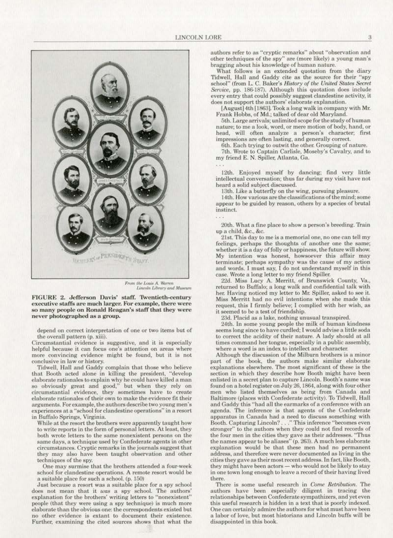

*From the Louis A, Warren*<br>Lincoln Library and Museum

FIGURE 2. Jefferson Davis' staff. Twentieth-century executive staffs are much larger. For example, there were so many people on Ronald Reagan's staff that they were never photographed as a group.

depend on correct interpretation of one or two items but of the overall pattern (p. xiii).

Circumstantial evidence is suggestive, and it is especially helpful because it can focus one's attention on areas where more convincing evidence might be found, but it is not conclusive in law or history.

Tidwell, Hall and Gaddy complain that those who believe that Booth acted alone in killing the president, "develop elaborate rationales to explain why he could have killed a man so obviously great and good," but when they rely on circumstantial evidence, they sometimes have to create circumstantial evidence, they sometimes have to create elaborate rationales of their own to make the evidence fit their arguments. For example, the authors describe two young men's experiences at a "school for clandestine operations" in a resort in Buffalo Springs, Virginia.

While at the resort the brothers were apparently taught how to write reports in the form of personal letters. At least. they both wrote letters to the same nonexistent persons on the same days, a technique used by Confederate agents in other circumstances. Cryptic remarks in the journals suggest that they may also have been taught observation and other techniques of the spy.

One may surmise that the brothers attended a four·week school for clandestine operations. A remote resort would be a suitable place for such a school. (p, 150)

Just because a resort was a suitable place for a spy school does not mean that it *was* a spy school. The authors' explanation for the brothers' writing letters to "nonexistent" people (that they were using a spy technique) is much more elaborate than the obvious one: the correspondents existed but no other evidence is extant to document their existence. Further, examining the cited sources shows that what the authors refer to as "cryptic remarks" about "observation and other techniques of the spy" are (more likely) a young man's bragging about his knowledge of human nature.

What follows is an extended quotation from the diary Tidwell, Hall and Gaddy cite as the source for their "spy school" (from L. C. Baker's *History of the United States Secret* Service, pp. 186-187). Although this quotation does include every entry that could possibly suggest clandestine activity, it does not support the authors' elaborate explanation.

[August] 4th [1863]. Took a long walk in company with Mr.<br>Frank Hobbs, of Md.; talked of dear old Maryland.

5th. Large arrivals; unlimited scope for the study of human nature; to me a look, word, or mere motion of body, hand, or head, will often analyze a person's character; first impressions are often lasting, and generally correct.

6th. Each trying to outwit the other. Grouping of nature.

7th. Wrote to Captain Carlisle, Moseby's Cavalry, and to my friend €. N. Spiller, Atlanta, Ga.

12th. Enjoyed myself by dancing; find very little intellectual conversation; thus far during my visit have not<br>heard a solid subject discussed.

13th. Like a butterfly on the wing, pursuing pleasure.

14th. How various are the classifications of the mind; some appear to be guided by reason, others by a species of brutal instinct.

20th. What a fine place to show a person's breeding. Train up a child, &c., &c.

21st. This day to me is a memorial one, no one can tell my feelings, perhaps the thoughts of another one the same; whether it is a day of folly or happiness, the future will show. My intention was honest, howsoever this affair may terminate; perhaps sympathy was the cause of my action and words. I must say, I do not understand myself in this case. Wrote a long letter to my friend Spiller.

returned to Buffalo; a long walk and confidential talk with her. Having noticed my letter to Mr. Spiller, asked to see it. Miss Merritt had no evil intentions when she made this request. Lhis [ firmly believe; I complied with her wish, as it seemed to be a test of friendship.

23d. Placid as a lake, nothing unusual transpired.

24th. In some young people the milk of human kindness seems long since to have curdled; I would advise a little soda to correct the acidity of their nature. A lady should at all times command her tongue, especially in a public assembly, where a word is an index to intellect and character.

Although the discussion of the MiJburn brothers is a minor part. of the book, the authors make similar elaborate explanations elsewhere. The most significant of these is the section in which they describe how Booth might have been enlisted in a secret plan to capture Lincoln. Booth's name was found on a hotel register on July 26, 1864, along with four other men who listed themselves as being from Canada and Baltimore (places with Confederate activity). To Tidwell, Hall<br>and Gaddy this "had all the earmarks of a conference with an agenda. The inference is that agents of the Confederate apparatus in Canada had a need to discuss something with Booth. Capturing Lincoln? . . . "This inference "becomes even stronger'' to the authors when they could not find records of the four men in the cities they gave as their addresses. "Thus the names appear to be aliases" (p. 263). A much less elaborate explanation would be that these men had no permanent address, and therefore were never documented as Jiving in the cities they gave as their most recent address. In fact, like Booth, they might have been actors — who would not be likely to stay in one town long enough to leave a record of their having lived there.

There is some useful research in *Come Retribution*. The authors have been especially diligent in tracing the relationships between Confederate sympathizers, and yet even this useful research is hidden in a text that is poorly indexed. One can certainly admire the authors for what must have been a labor of love, but most historians and Lincoln buffs will be disappointed in this book.